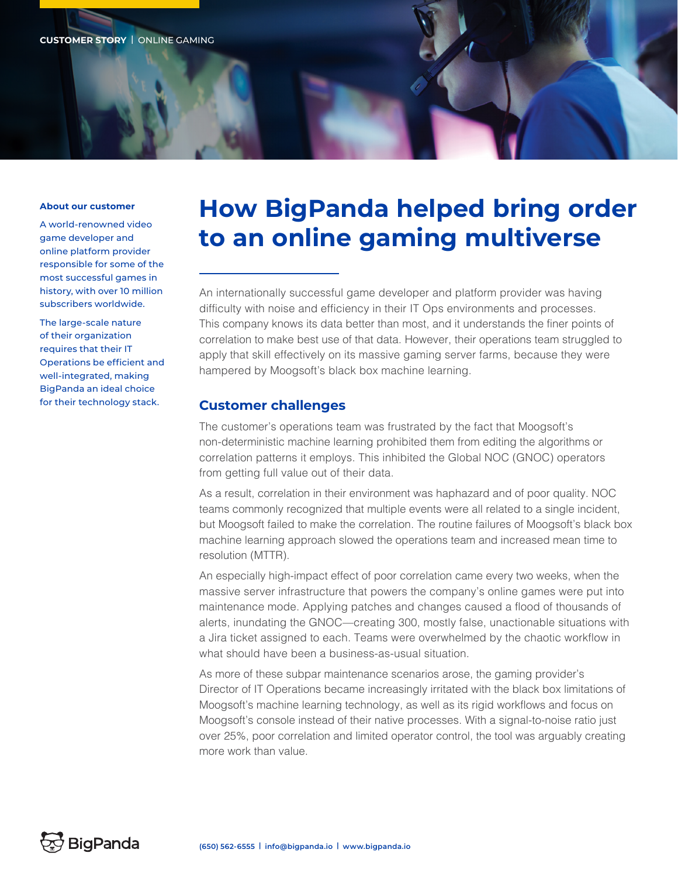#### **About our customer**

A world-renowned video game developer and online platform provider responsible for some of the most successful games in history, with over 10 million subscribers worldwide.

The large-scale nature of their organization requires that their IT Operations be efficient and well-integrated, making BigPanda an ideal choice for their technology stack.

# **How BigPanda helped bring order to an online gaming multiverse**

An internationally successful game developer and platform provider was having difficulty with noise and efficiency in their IT Ops environments and processes. This company knows its data better than most, and it understands the finer points of correlation to make best use of that data. However, their operations team struggled to apply that skill effectively on its massive gaming server farms, because they were hampered by Moogsoft's black box machine learning.

### **Customer challenges**

The customer's operations team was frustrated by the fact that Moogsoft's non-deterministic machine learning prohibited them from editing the algorithms or correlation patterns it employs. This inhibited the Global NOC (GNOC) operators from getting full value out of their data.

As a result, correlation in their environment was haphazard and of poor quality. NOC teams commonly recognized that multiple events were all related to a single incident, but Moogsoft failed to make the correlation. The routine failures of Moogsoft's black box machine learning approach slowed the operations team and increased mean time to resolution (MTTR).

An especially high-impact effect of poor correlation came every two weeks, when the massive server infrastructure that powers the company's online games were put into maintenance mode. Applying patches and changes caused a flood of thousands of alerts, inundating the GNOC—creating 300, mostly false, unactionable situations with a Jira ticket assigned to each. Teams were overwhelmed by the chaotic workflow in what should have been a business-as-usual situation.

As more of these subpar maintenance scenarios arose, the gaming provider's Director of IT Operations became increasingly irritated with the black box limitations of Moogsoft's machine learning technology, as well as its rigid workflows and focus on Moogsoft's console instead of their native processes. With a signal-to-noise ratio just over 25%, poor correlation and limited operator control, the tool was arguably creating more work than value.

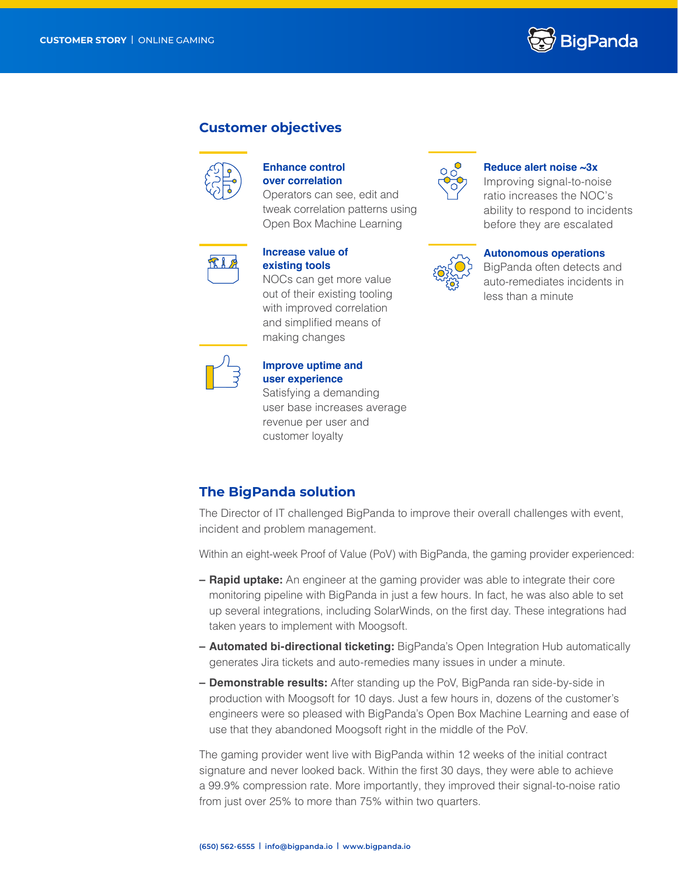

### **Customer objectives**



### **Enhance control over correlation**

Operators can see, edit and tweak correlation patterns using Open Box Machine Learning



### **Increase value of existing tools**

NOCs can get more value out of their existing tooling with improved correlation and simplified means of making changes



## **Improve uptime and user experience**

Satisfying a demanding user base increases average revenue per user and customer loyalty



Improving signal-to-noise ratio increases the NOC's ability to respond to incidents before they are escalated



### **Autonomous operations**

BigPanda often detects and auto-remediates incidents in less than a minute

### **The BigPanda solution**

The Director of IT challenged BigPanda to improve their overall challenges with event, incident and problem management.

Within an eight-week Proof of Value (PoV) with BigPanda, the gaming provider experienced:

- **– Rapid uptake:** An engineer at the gaming provider was able to integrate their core monitoring pipeline with BigPanda in just a few hours. In fact, he was also able to set up several integrations, including SolarWinds, on the first day. These integrations had taken years to implement with Moogsoft.
- **– Automated bi-directional ticketing:** BigPanda's Open Integration Hub automatically generates Jira tickets and auto-remedies many issues in under a minute.
- **– Demonstrable results:** After standing up the PoV, BigPanda ran side-by-side in production with Moogsoft for 10 days. Just a few hours in, dozens of the customer's engineers were so pleased with BigPanda's Open Box Machine Learning and ease of use that they abandoned Moogsoft right in the middle of the PoV.

The gaming provider went live with BigPanda within 12 weeks of the initial contract signature and never looked back. Within the first 30 days, they were able to achieve a 99.9% compression rate. More importantly, they improved their signal-to-noise ratio from just over 25% to more than 75% within two quarters.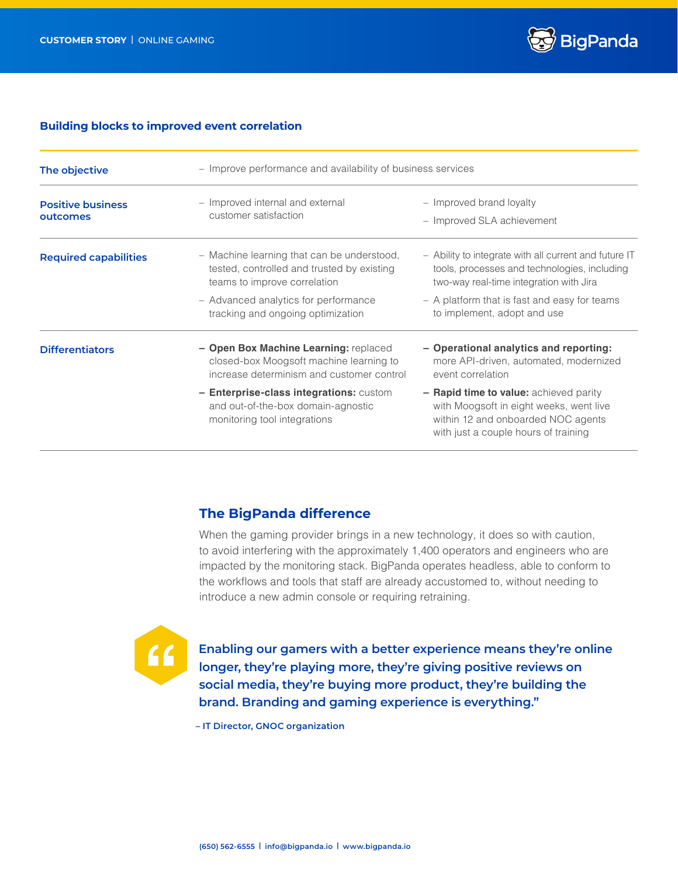

### **Building blocks to improved event correlation**

| The objective                        | - Improve performance and availability of business services                                                                   |                                                                                                                                                                 |
|--------------------------------------|-------------------------------------------------------------------------------------------------------------------------------|-----------------------------------------------------------------------------------------------------------------------------------------------------------------|
| <b>Positive business</b><br>outcomes | - Improved internal and external<br>customer satisfaction                                                                     | - Improved brand loyalty<br>- Improved SLA achievement                                                                                                          |
| <b>Required capabilities</b>         | - Machine learning that can be understood,<br>tested, controlled and trusted by existing<br>teams to improve correlation      | - Ability to integrate with all current and future IT<br>tools, processes and technologies, including<br>two-way real-time integration with Jira                |
|                                      | - Advanced analytics for performance<br>tracking and ongoing optimization                                                     | - A platform that is fast and easy for teams<br>to implement, adopt and use                                                                                     |
| <b>Differentiators</b>               | - Open Box Machine Learning: replaced<br>closed-box Moogsoft machine learning to<br>increase determinism and customer control | - Operational analytics and reporting:<br>more API-driven, automated, modernized<br>event correlation                                                           |
|                                      | - Enterprise-class integrations: custom<br>and out-of-the-box domain-agnostic<br>monitoring tool integrations                 | - Rapid time to value: achieved parity<br>with Moogsoft in eight weeks, went live<br>within 12 and onboarded NOC agents<br>with just a couple hours of training |

### **The BigPanda difference**

When the gaming provider brings in a new technology, it does so with caution, to avoid interfering with the approximately 1,400 operators and engineers who are impacted by the monitoring stack. BigPanda operates headless, able to conform to the workflows and tools that staff are already accustomed to, without needing to introduce a new admin console or requiring retraining.



**Enabling our gamers with a better experience means they're online longer, they're playing more, they're giving positive reviews on social media, they're buying more product, they're building the brand. Branding and gaming experience is everything."** 

**– IT Director, GNOC organization**